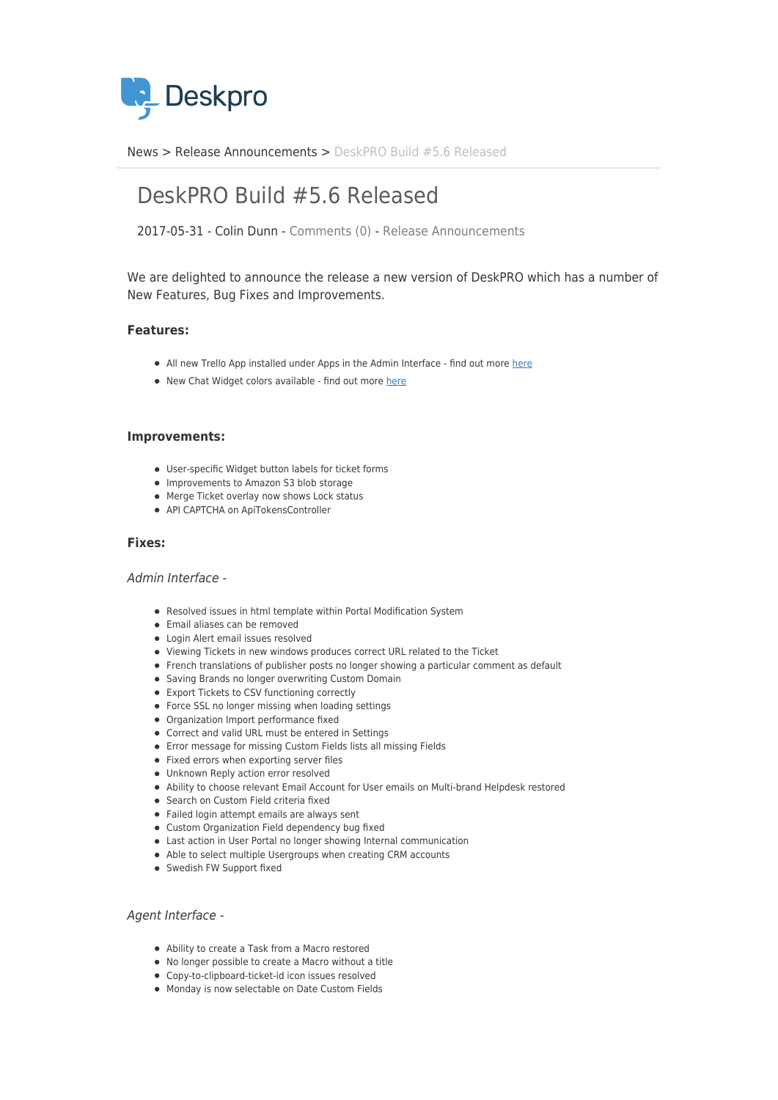

[News](https://support.deskpro.com/ro/news) > [Release Announcements](https://support.deskpro.com/ro/news/release-announcements) > [DeskPRO Build #5.6 Released](https://support.deskpro.com/ro/news/posts/deskpro-build-5-6-released)

# DeskPRO Build #5.6 Released

2017-05-31 - Colin Dunn - [Comments \(0\)](#page--1-0) - [Release Announcements](https://support.deskpro.com/ro/news/release-announcements)

We are delighted to announce the release a new version of DeskPRO which has a number of New Features, Bug Fixes and Improvements.

## **Features:**

- All new Trello App installed under Apps in the Admin Interface find out more [here](https://support.deskpro.com/news/posts/654)
- New Chat Widget colors available find out more [here](https://support.deskpro.com/news/posts/655)

#### **Improvements:**

- User-specific Widget button labels for ticket forms
- Improvements to Amazon S3 blob storage
- Merge Ticket overlay now shows Lock status
- API CAPTCHA on ApiTokensController

#### **Fixes:**

#### Admin Interface -

- Resolved issues in html template within Portal Modification System
- Email aliases can be removed
- Login Alert email issues resolved
- Viewing Tickets in new windows produces correct URL related to the Ticket
- French translations of publisher posts no longer showing a particular comment as default
- Saving Brands no longer overwriting Custom Domain
- Export Tickets to CSV functioning correctly
- Force SSL no longer missing when loading settings
- Organization Import performance fixed
- Correct and valid URL must be entered in Settings
- Error message for missing Custom Fields lists all missing Fields
- Fixed errors when exporting server files
- Unknown Reply action error resolved
- Ability to choose relevant Email Account for User emails on Multi-brand Helpdesk restored
- Search on Custom Field criteria fixed
- Failed login attempt emails are always sent
- Custom Organization Field dependency bug fixed
- Last action in User Portal no longer showing Internal communication
- Able to select multiple Usergroups when creating CRM accounts
- Swedish FW Support fixed

#### Agent Interface -

- Ability to create a Task from a Macro restored
- No longer possible to create a Macro without a title
- Copy-to-clipboard-ticket-id icon issues resolved
- Monday is now selectable on Date Custom Fields